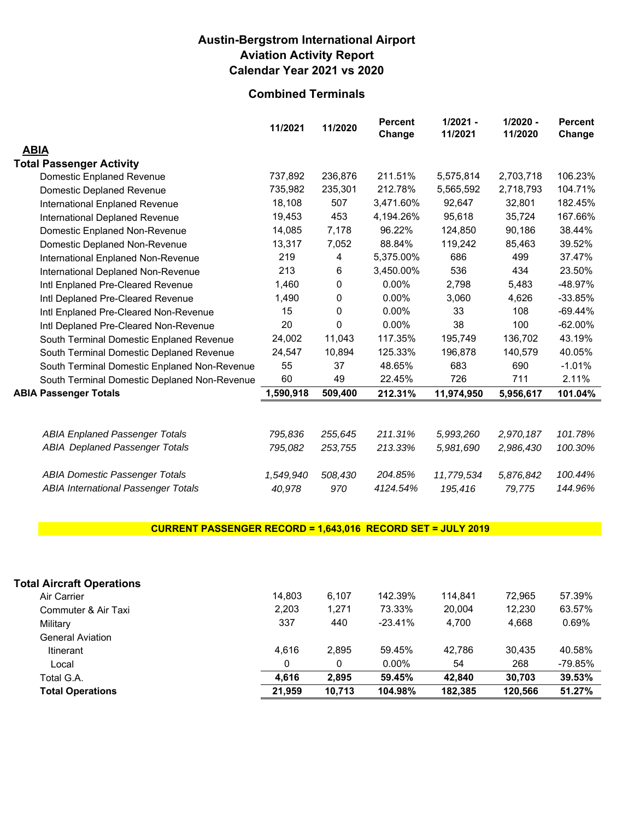### **Austin-Bergstrom International Airport Aviation Activity Report Calendar Year 2021 vs 2020**

## **Combined Terminals**

|                                              | 11/2021   | 11/2020      | <b>Percent</b><br>Change | $1/2021 -$<br>11/2021 | $1/2020 -$<br>11/2020 | <b>Percent</b><br>Change |
|----------------------------------------------|-----------|--------------|--------------------------|-----------------------|-----------------------|--------------------------|
| <b>ABIA</b>                                  |           |              |                          |                       |                       |                          |
| <b>Total Passenger Activity</b>              |           |              |                          |                       |                       |                          |
| Domestic Enplaned Revenue                    | 737,892   | 236,876      | 211.51%                  | 5,575,814             | 2,703,718             | 106.23%                  |
| Domestic Deplaned Revenue                    | 735,982   | 235,301      | 212.78%                  | 5,565,592             | 2,718,793             | 104.71%                  |
| International Enplaned Revenue               | 18,108    | 507          | 3,471.60%                | 92,647                | 32,801                | 182.45%                  |
| International Deplaned Revenue               | 19,453    | 453          | 4,194.26%                | 95,618                | 35,724                | 167.66%                  |
| Domestic Enplaned Non-Revenue                | 14,085    | 7,178        | 96.22%                   | 124,850               | 90,186                | 38.44%                   |
| Domestic Deplaned Non-Revenue                | 13,317    | 7,052        | 88.84%                   | 119,242               | 85,463                | 39.52%                   |
| International Enplaned Non-Revenue           | 219       | 4            | 5,375.00%                | 686                   | 499                   | 37.47%                   |
| International Deplaned Non-Revenue           | 213       | 6            | 3,450.00%                | 536                   | 434                   | 23.50%                   |
| Intl Enplaned Pre-Cleared Revenue            | 1,460     | 0            | 0.00%                    | 2,798                 | 5,483                 | -48.97%                  |
| Intl Deplaned Pre-Cleared Revenue            | 1,490     | 0            | $0.00\%$                 | 3,060                 | 4,626                 | $-33.85%$                |
| Intl Enplaned Pre-Cleared Non-Revenue        | 15        | 0            | 0.00%                    | 33                    | 108                   | $-69.44%$                |
| Intl Deplaned Pre-Cleared Non-Revenue        | 20        | $\mathbf{0}$ | 0.00%                    | 38                    | 100                   | $-62.00\%$               |
| South Terminal Domestic Enplaned Revenue     | 24,002    | 11,043       | 117.35%                  | 195,749               | 136,702               | 43.19%                   |
| South Terminal Domestic Deplaned Revenue     | 24,547    | 10,894       | 125.33%                  | 196,878               | 140,579               | 40.05%                   |
| South Terminal Domestic Enplaned Non-Revenue | 55        | 37           | 48.65%                   | 683                   | 690                   | $-1.01\%$                |
| South Terminal Domestic Deplaned Non-Revenue | 60        | 49           | 22.45%                   | 726                   | 711                   | 2.11%                    |
| <b>ABIA Passenger Totals</b>                 | 1,590,918 | 509,400      | 212.31%                  | 11,974,950            | 5,956,617             | 101.04%                  |
|                                              |           |              |                          |                       |                       |                          |
| <b>ABIA Enplaned Passenger Totals</b>        | 795,836   | 255,645      | 211.31%                  | 5,993,260             | 2,970,187             | 101.78%                  |
| <b>ABIA Deplaned Passenger Totals</b>        | 795,082   | 253,755      | 213.33%                  | 5,981,690             | 2,986,430             | 100.30%                  |
| <b>ABIA Domestic Passenger Totals</b>        | 1,549,940 | 508,430      | 204.85%                  | 11,779,534            | 5,876,842             | 100.44%                  |
| <b>ABIA International Passenger Totals</b>   | 40,978    | 970          | 4124.54%                 | 195,416               | 79,775                | 144.96%                  |

### **CURRENT PASSENGER RECORD = 1,643,016 RECORD SET = JULY 2019**

| <b>Total Aircraft Operations</b> |        |        |           |         |         |         |
|----------------------------------|--------|--------|-----------|---------|---------|---------|
| Air Carrier                      | 14.803 | 6,107  | 142.39%   | 114.841 | 72.965  | 57.39%  |
| Commuter & Air Taxi              | 2.203  | 1,271  | 73.33%    | 20.004  | 12.230  | 63.57%  |
| Military                         | 337    | 440    | $-23.41%$ | 4.700   | 4.668   | 0.69%   |
| <b>General Aviation</b>          |        |        |           |         |         |         |
| Itinerant                        | 4.616  | 2.895  | 59.45%    | 42.786  | 30.435  | 40.58%  |
| Local                            |        | 0      | $0.00\%$  | 54      | 268     | -79.85% |
| Total G.A.                       | 4.616  | 2.895  | 59.45%    | 42.840  | 30.703  | 39.53%  |
| <b>Total Operations</b>          | 21.959 | 10.713 | 104.98%   | 182.385 | 120.566 | 51.27%  |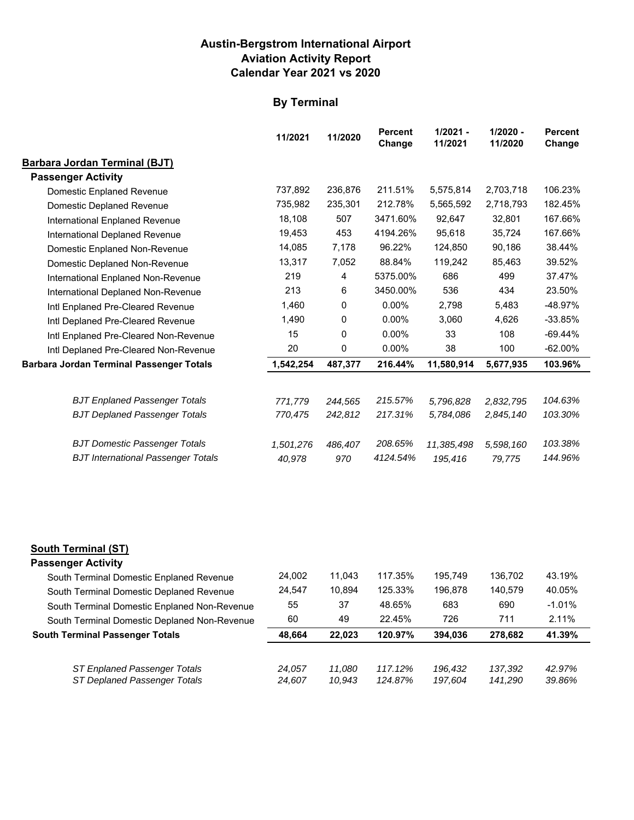### **Austin-Bergstrom International Airport Aviation Activity Report Calendar Year 2021 vs 2020**

## **By Terminal**

|                                                 | 11/2021   | 11/2020 | <b>Percent</b><br>Change | $1/2021 -$<br>11/2021 | $1/2020 -$<br>11/2020 | <b>Percent</b><br>Change |
|-------------------------------------------------|-----------|---------|--------------------------|-----------------------|-----------------------|--------------------------|
| <b>Barbara Jordan Terminal (BJT)</b>            |           |         |                          |                       |                       |                          |
| <b>Passenger Activity</b>                       |           |         |                          |                       |                       |                          |
| Domestic Enplaned Revenue                       | 737,892   | 236,876 | 211.51%                  | 5,575,814             | 2,703,718             | 106.23%                  |
| Domestic Deplaned Revenue                       | 735,982   | 235,301 | 212.78%                  | 5,565,592             | 2,718,793             | 182.45%                  |
| International Enplaned Revenue                  | 18,108    | 507     | 3471.60%                 | 92,647                | 32,801                | 167.66%                  |
| International Deplaned Revenue                  | 19,453    | 453     | 4194.26%                 | 95.618                | 35,724                | 167.66%                  |
| Domestic Enplaned Non-Revenue                   | 14,085    | 7,178   | 96.22%                   | 124,850               | 90,186                | 38.44%                   |
| Domestic Deplaned Non-Revenue                   | 13,317    | 7,052   | 88.84%                   | 119,242               | 85,463                | 39.52%                   |
| International Enplaned Non-Revenue              | 219       | 4       | 5375.00%                 | 686                   | 499                   | 37.47%                   |
| International Deplaned Non-Revenue              | 213       | 6       | 3450.00%                 | 536                   | 434                   | 23.50%                   |
| Intl Enplaned Pre-Cleared Revenue               | 1,460     | 0       | $0.00\%$                 | 2,798                 | 5,483                 | $-48.97%$                |
| Intl Deplaned Pre-Cleared Revenue               | 1,490     | 0       | $0.00\%$                 | 3,060                 | 4,626                 | $-33.85%$                |
| Intl Enplaned Pre-Cleared Non-Revenue           | 15        | 0       | $0.00\%$                 | 33                    | 108                   | $-69.44%$                |
| Intl Deplaned Pre-Cleared Non-Revenue           | 20        | 0       | $0.00\%$                 | 38                    | 100                   | $-62.00\%$               |
| <b>Barbara Jordan Terminal Passenger Totals</b> | 1,542,254 | 487,377 | 216.44%                  | 11,580,914            | 5,677,935             | 103.96%                  |
|                                                 |           |         |                          |                       |                       |                          |
| <b>BJT Enplaned Passenger Totals</b>            | 771,779   | 244,565 | 215.57%                  | 5,796,828             | 2,832,795             | 104.63%                  |
| <b>BJT Deplaned Passenger Totals</b>            | 770,475   | 242,812 | 217.31%                  | 5,784,086             | 2,845,140             | 103.30%                  |
| <b>BJT Domestic Passenger Totals</b>            | 1,501,276 | 486,407 | 208.65%                  | 11,385,498            | 5,598,160             | 103.38%                  |
| <b>BJT International Passenger Totals</b>       | 40,978    | 970     | 4124.54%                 | 195,416               | 79,775                | 144.96%                  |
|                                                 |           |         |                          |                       |                       |                          |

## **South Terminal (ST)**

### **Passenger Activity**

| South Terminal Domestic Enplaned Revenue     | 24.002 | 11.043 | 117.35% | 195.749 | 136.702 | 43.19%    |
|----------------------------------------------|--------|--------|---------|---------|---------|-----------|
| South Terminal Domestic Deplaned Revenue     | 24.547 | 10.894 | 125.33% | 196.878 | 140.579 | 40.05%    |
| South Terminal Domestic Enplaned Non-Revenue | 55     | 37     | 48.65%  | 683     | 690     | $-1.01\%$ |
| South Terminal Domestic Deplaned Non-Revenue | 60     | 49     | 22.45%  | 726     | 711     | 2.11%     |
|                                              |        |        |         |         |         |           |
| <b>South Terminal Passenger Totals</b>       | 48.664 | 22.023 | 120.97% | 394.036 | 278.682 | 41.39%    |
|                                              |        |        |         |         |         |           |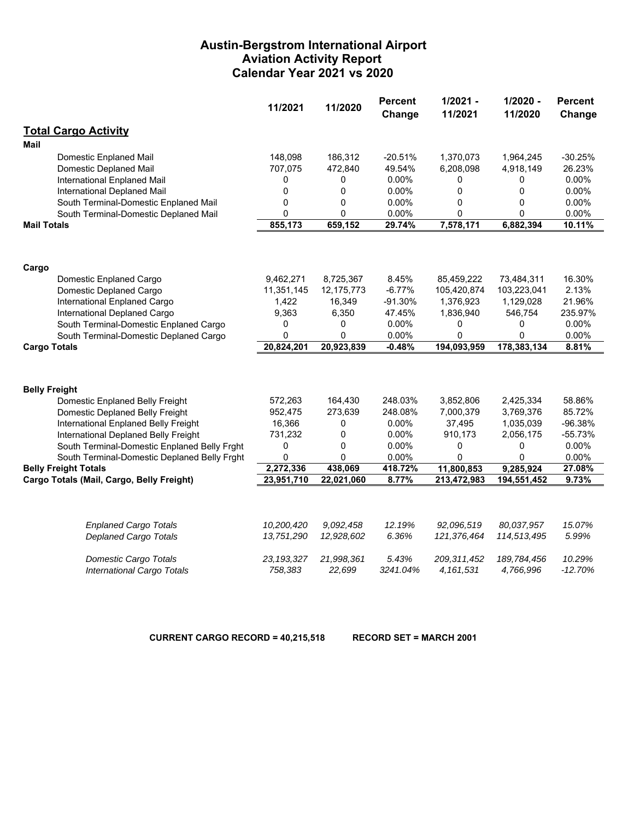### **Austin-Bergstrom International Airport Aviation Activity Report Calendar Year 2021 vs 2020**

|                                              | 11/2021      | 11/2020    | <b>Percent</b><br>Change | $1/2021 -$<br>11/2021 | $1/2020 -$<br>11/2020 | <b>Percent</b><br>Change |
|----------------------------------------------|--------------|------------|--------------------------|-----------------------|-----------------------|--------------------------|
| <b>Total Cargo Activity</b>                  |              |            |                          |                       |                       |                          |
| Mail                                         |              |            |                          |                       |                       |                          |
| <b>Domestic Enplaned Mail</b>                | 148,098      | 186,312    | $-20.51%$                | 1,370,073             | 1,964,245             | $-30.25%$                |
| Domestic Deplaned Mail                       | 707,075      | 472,840    | 49.54%                   | 6,208,098             | 4,918,149             | 26.23%                   |
| International Enplaned Mail                  | 0            | 0          | 0.00%                    | 0                     | 0                     | 0.00%                    |
| International Deplaned Mail                  | 0            | 0          | 0.00%                    | 0                     | 0                     | 0.00%                    |
| South Terminal-Domestic Enplaned Mail        | $\mathbf 0$  | 0          | 0.00%                    | 0                     | 0                     | 0.00%                    |
| South Terminal-Domestic Deplaned Mail        | $\mathbf 0$  | 0          | 0.00%                    | 0                     | 0                     | 0.00%                    |
| <b>Mail Totals</b>                           | 855,173      | 659,152    | 29.74%                   | 7,578,171             | 6,882,394             | 10.11%                   |
|                                              |              |            |                          |                       |                       |                          |
| Cargo                                        |              |            |                          |                       |                       |                          |
| Domestic Enplaned Cargo                      | 9,462,271    | 8,725,367  | 8.45%                    | 85,459,222            | 73,484,311            | 16.30%                   |
| Domestic Deplaned Cargo                      | 11,351,145   | 12,175,773 | $-6.77%$                 | 105,420,874           | 103,223,041           | 2.13%                    |
| International Enplaned Cargo                 | 1,422        | 16,349     | $-91.30%$                | 1,376,923             | 1,129,028             | 21.96%                   |
| International Deplaned Cargo                 | 9,363        | 6,350      | 47.45%                   | 1,836,940             | 546,754               | 235.97%                  |
| South Terminal-Domestic Enplaned Cargo       | 0            | 0          | $0.00\%$                 | 0                     | 0                     | 0.00%                    |
| South Terminal-Domestic Deplaned Cargo       | 0            | $\Omega$   | $0.00\%$                 | 0                     | 0                     | 0.00%                    |
| <b>Cargo Totals</b>                          | 20,824,201   | 20,923,839 | $-0.48%$                 | 194,093,959           | 178,383,134           | 8.81%                    |
|                                              |              |            |                          |                       |                       |                          |
| <b>Belly Freight</b>                         |              |            |                          |                       |                       |                          |
| Domestic Enplaned Belly Freight              | 572,263      | 164,430    | 248.03%                  | 3,852,806             | 2,425,334             | 58.86%                   |
| Domestic Deplaned Belly Freight              | 952,475      | 273,639    | 248.08%                  | 7,000,379             | 3,769,376             | 85.72%                   |
| International Enplaned Belly Freight         | 16,366       | 0          | 0.00%                    | 37,495                | 1,035,039             | -96.38%                  |
| International Deplaned Belly Freight         | 731,232      | 0          | 0.00%                    | 910,173               | 2,056,175             | $-55.73%$                |
| South Terminal-Domestic Enplaned Belly Frght | 0            | 0          | 0.00%                    | 0                     | 0                     | 0.00%                    |
| South Terminal-Domestic Deplaned Belly Frght | 0            | 0          | 0.00%                    | 0                     | 0                     | 0.00%                    |
| <b>Belly Freight Totals</b>                  | 2,272,336    | 438,069    | 418.72%                  | 11,800,853            | 9,285,924             | 27.08%                   |
| Cargo Totals (Mail, Cargo, Belly Freight)    | 23,951,710   | 22,021,060 | 8.77%                    | 213,472,983           | 194,551,452           | 9.73%                    |
|                                              |              |            |                          |                       |                       |                          |
| <b>Enplaned Cargo Totals</b>                 | 10,200,420   | 9,092,458  | 12.19%                   | 92,096,519            | 80,037,957            | 15.07%                   |
| <b>Deplaned Cargo Totals</b>                 | 13,751,290   | 12,928,602 | 6.36%                    | 121,376,464           | 114,513,495           | 5.99%                    |
| <b>Domestic Cargo Totals</b>                 | 23, 193, 327 | 21,998,361 | 5.43%                    | 209, 311, 452         | 189,784,456           | 10.29%                   |
| International Cargo Totals                   | 758,383      | 22,699     | 3241.04%                 | 4,161,531             | 4,766,996             | $-12.70%$                |

**CURRENT CARGO RECORD = 40,215,518 RECORD SET = MARCH 2001**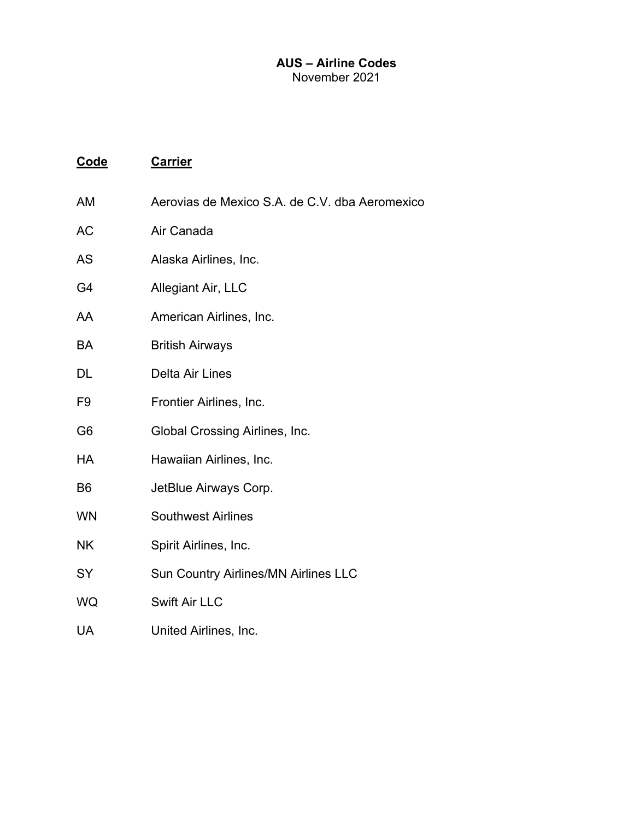### **AUS – Airline Codes**  November 2021

| Code | <b>Carrier</b> |  |
|------|----------------|--|
|      |                |  |

- AM Aerovias de Mexico S.A. de C.V. dba Aeromexico
- AC Air Canada
- AS Alaska Airlines, Inc.
- G4 Allegiant Air, LLC
- AA American Airlines, Inc.
- BA British Airways
- DL Delta Air Lines
- F9 Frontier Airlines, Inc.
- G6 Global Crossing Airlines, Inc.
- HA Hawaiian Airlines, Inc.
- B6 JetBlue Airways Corp.
- WN Southwest Airlines
- NK Spirit Airlines, Inc.
- SY Sun Country Airlines/MN Airlines LLC
- WQ Swift Air LLC
- UA United Airlines, Inc.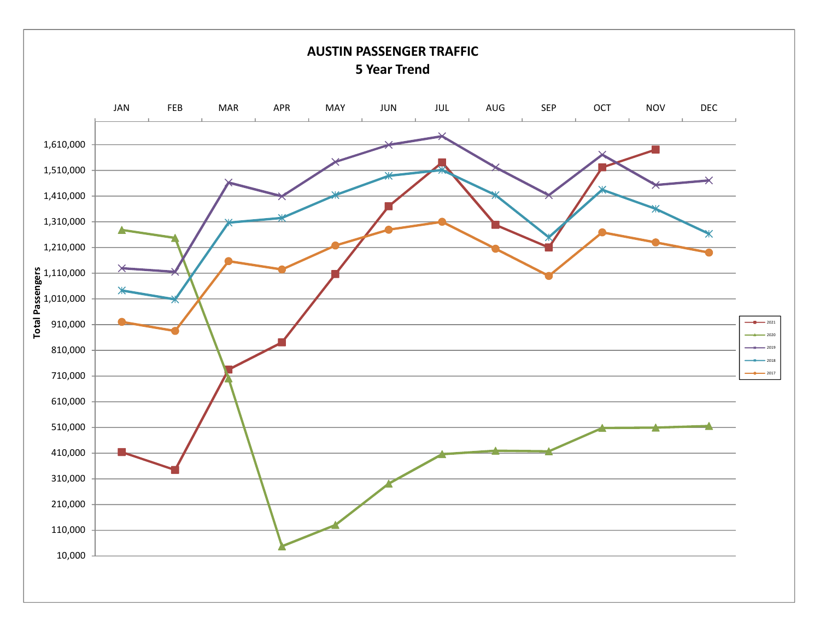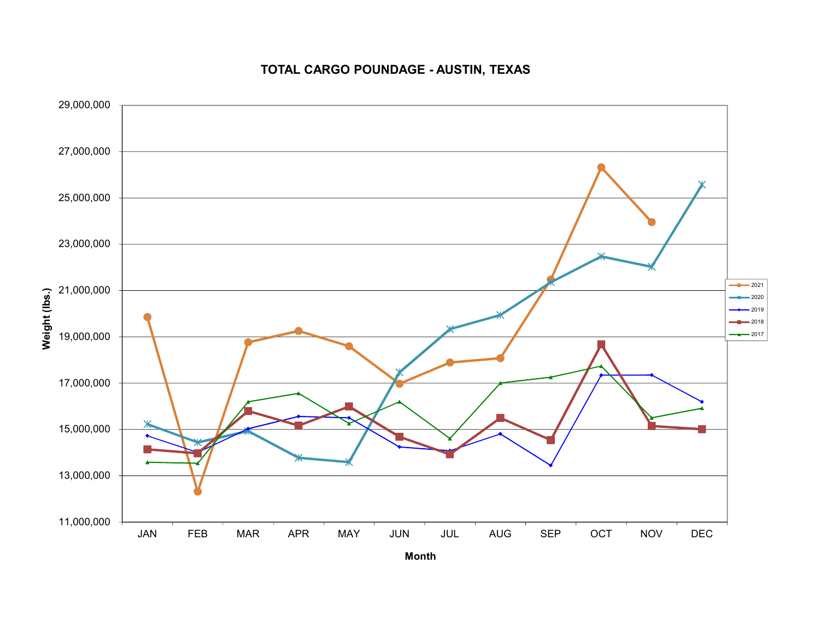### **TOTAL CARGO POUNDAGE - AUSTIN, TEXAS**

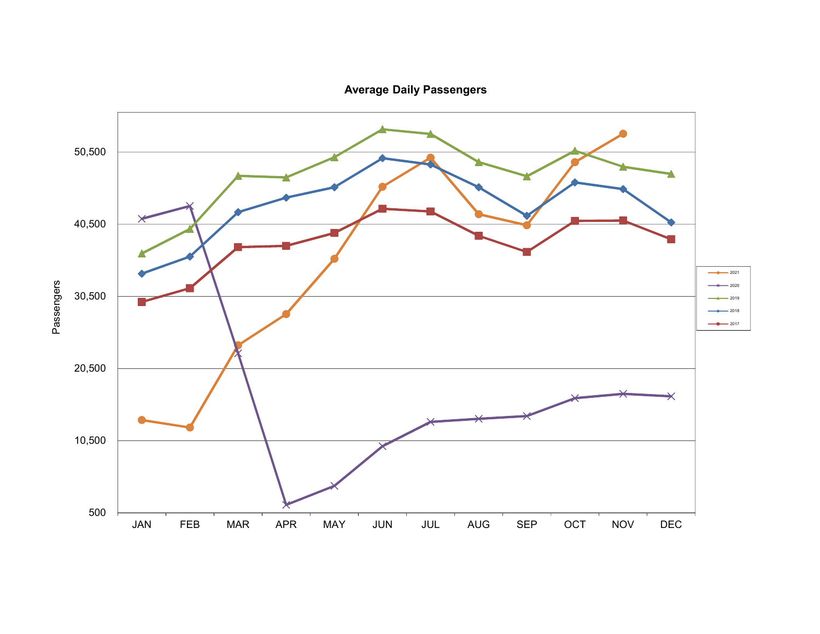**Average Daily Passengers**

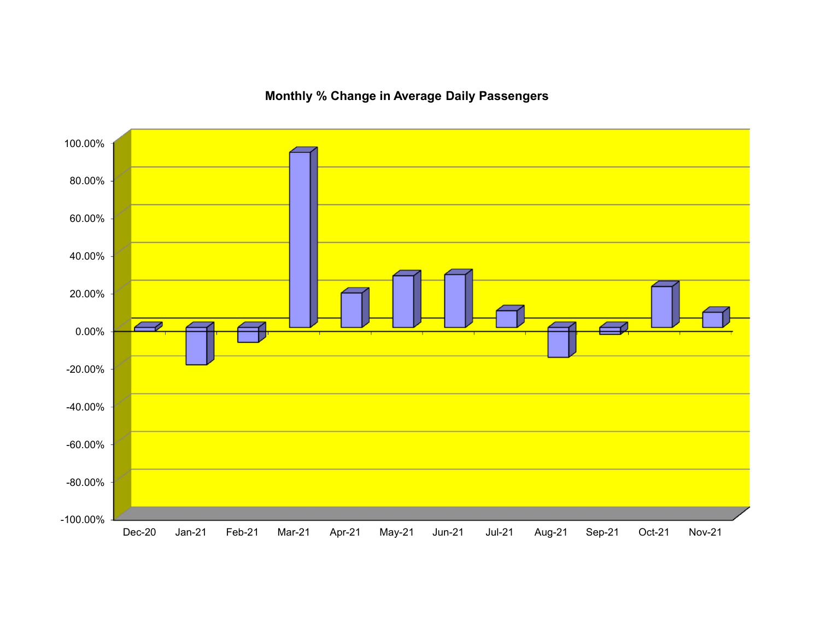## **Monthly % Change in Average Daily Passengers**

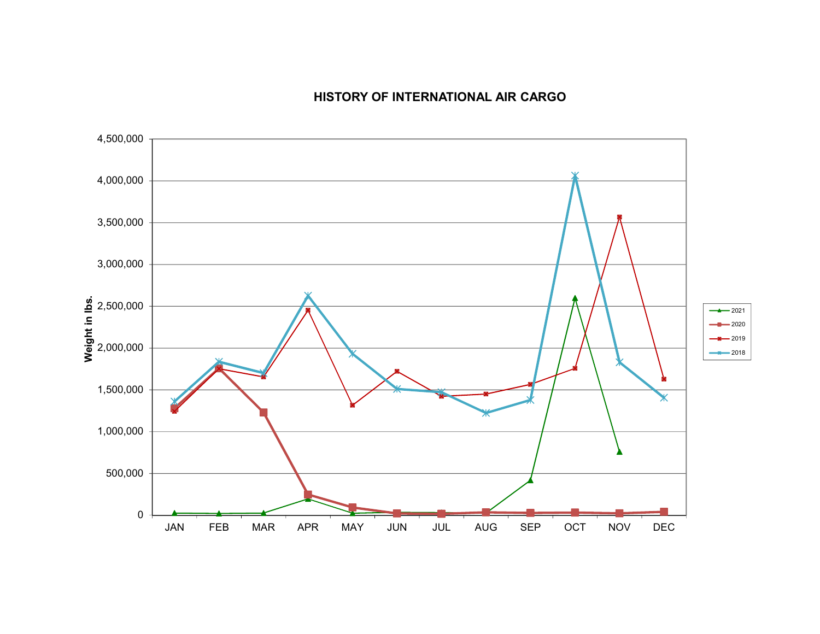## **HISTORY OF INTERNATIONAL AIR CARGO**

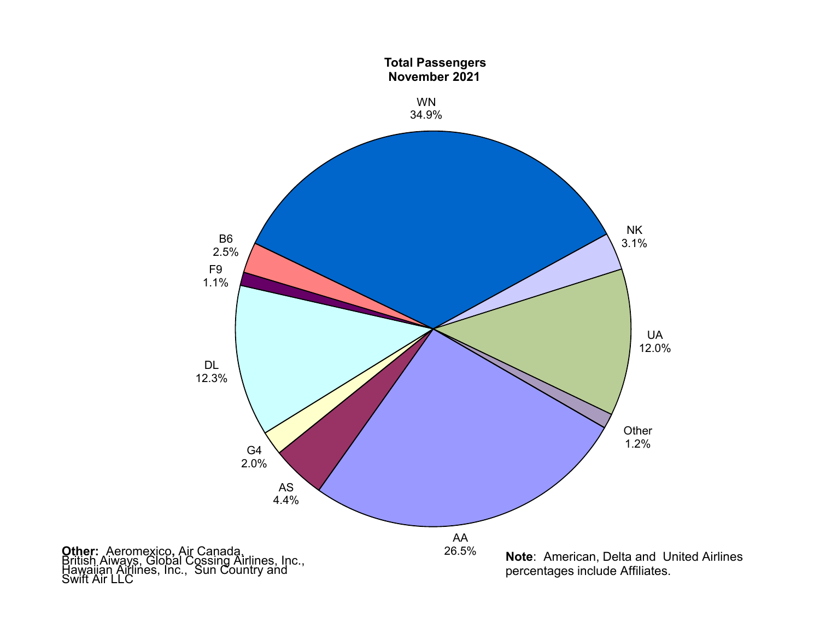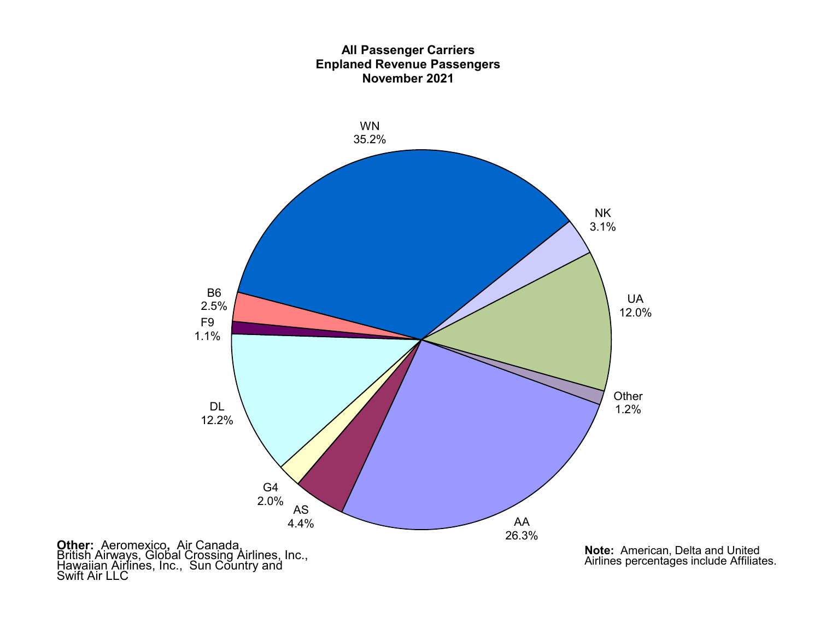### **All Passenger Carriers Enplaned Revenue Passengers November 2021**



**Other:** Aeromexico, Air Canada,<br>British Airways, Global Crossing Airlines, Inc.,<br>Hawaiian Airlines, Inc., Sun Country and<br>Swift Air LLC

**Note:** American, Delta and United Airlines percentages include Affiliates.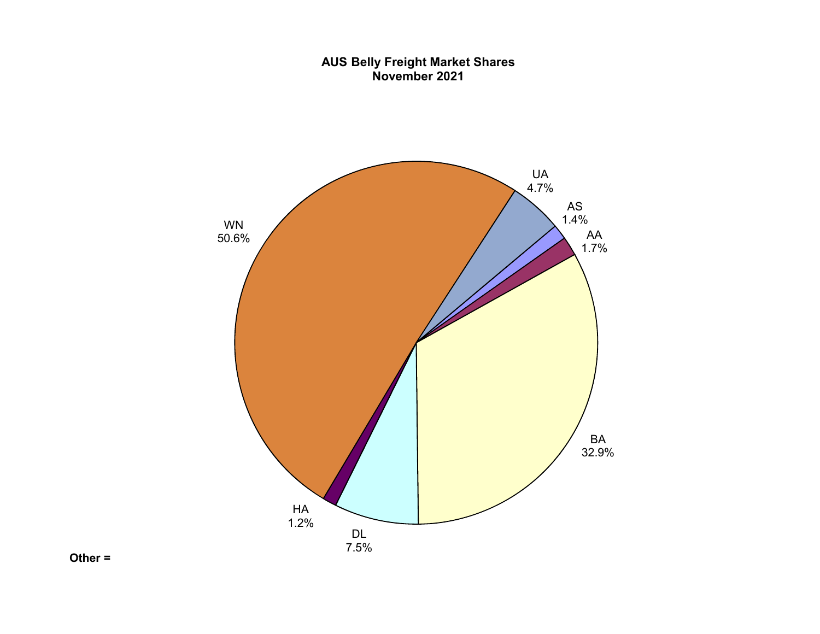### **AUS Belly Freight Market Shares November 2021**



**Other =**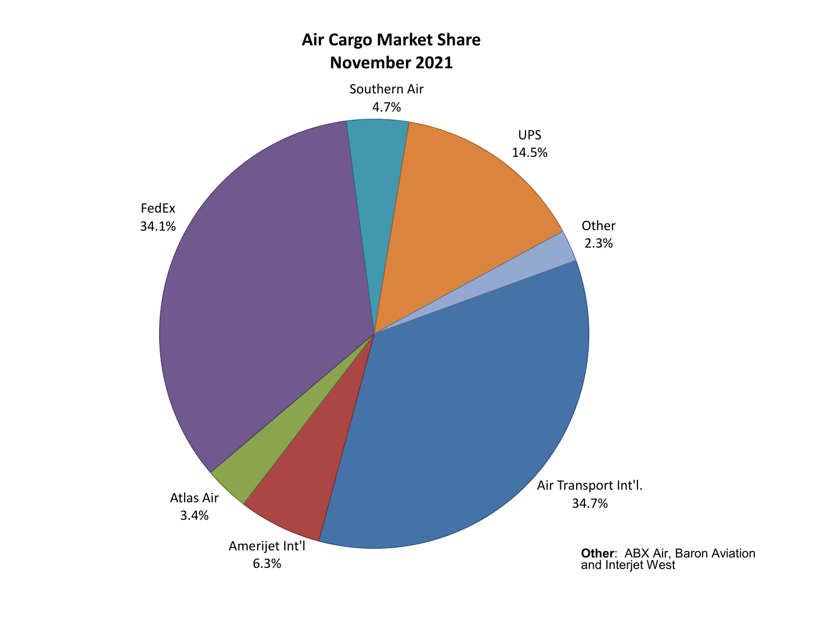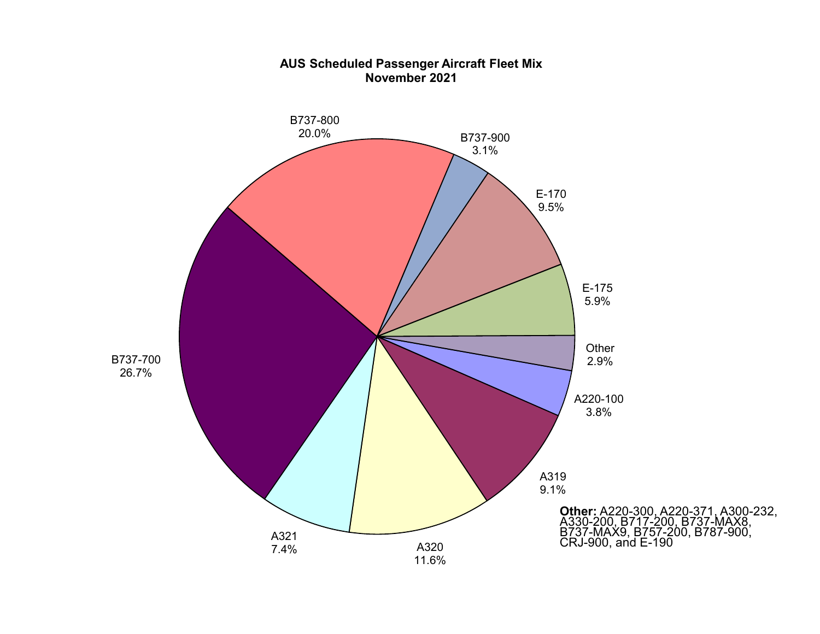

### **AUS Scheduled Passenger Aircraft Fleet Mix November 2021**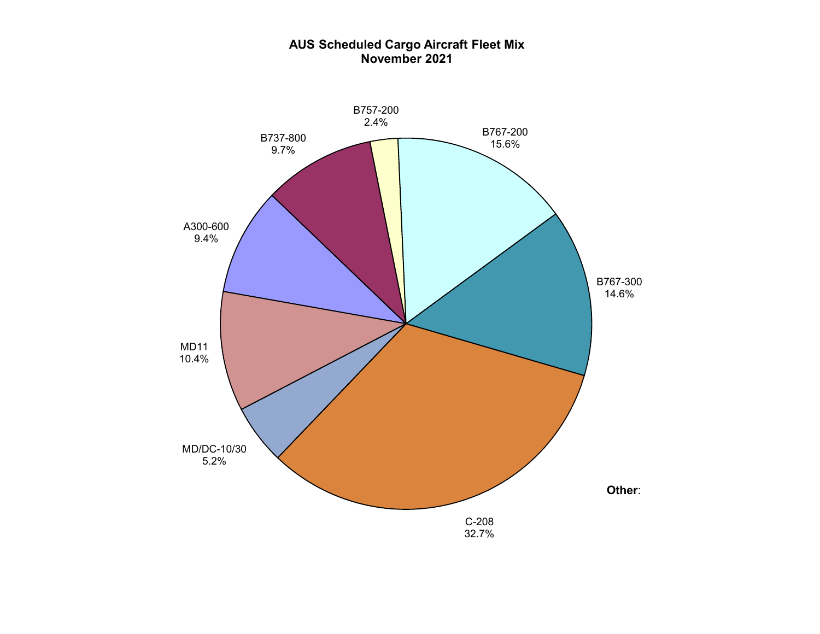

### **AUS Scheduled Cargo Aircraft Fleet Mix November 2021**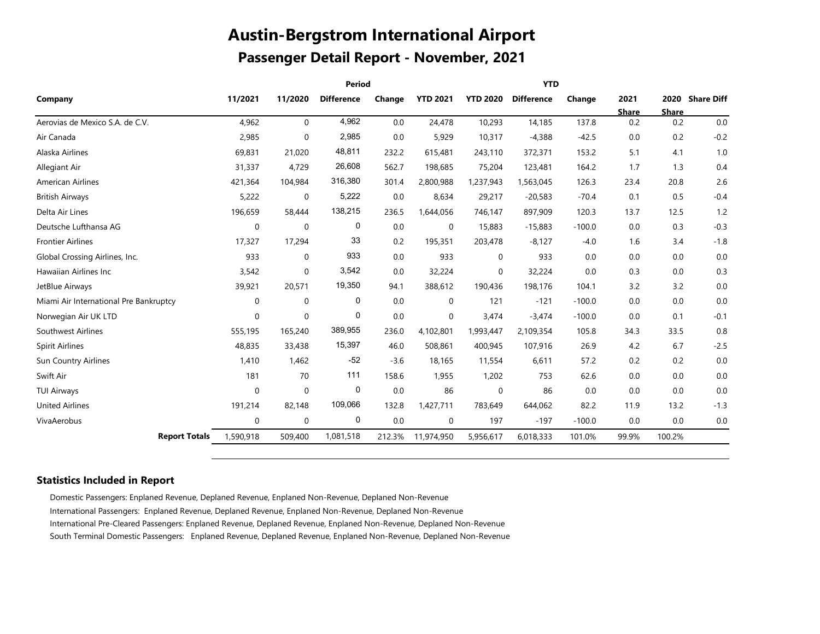# **Austin-Bergstrom International Airport Passenger Detail Report - November, 2021**

|             |                                    |                                               |                                    |                                               |                                       | <b>YTD</b>                            |                                          |                                    |                                          |                                          |
|-------------|------------------------------------|-----------------------------------------------|------------------------------------|-----------------------------------------------|---------------------------------------|---------------------------------------|------------------------------------------|------------------------------------|------------------------------------------|------------------------------------------|
| 11/2021     | 11/2020                            | <b>Difference</b>                             | Change                             | <b>YTD 2021</b>                               | <b>YTD 2020</b>                       | <b>Difference</b>                     | Change                                   | 2021                               |                                          | 2020 Share Diff                          |
|             |                                    |                                               |                                    |                                               |                                       |                                       |                                          |                                    |                                          | 0.0                                      |
|             |                                    |                                               |                                    |                                               |                                       |                                       |                                          |                                    |                                          |                                          |
|             |                                    |                                               |                                    |                                               |                                       |                                       |                                          |                                    |                                          | $-0.2$                                   |
|             |                                    |                                               |                                    |                                               |                                       |                                       |                                          |                                    |                                          | 1.0                                      |
|             |                                    |                                               |                                    |                                               |                                       |                                       |                                          |                                    |                                          | 0.4                                      |
| 421,364     | 104,984                            | 316,380                                       | 301.4                              | 2,800,988                                     | 1,237,943                             | 1,563,045                             | 126.3                                    | 23.4                               | 20.8                                     | 2.6                                      |
| 5,222       | 0                                  | 5,222                                         | 0.0                                | 8,634                                         | 29,217                                | $-20,583$                             | $-70.4$                                  | 0.1                                | 0.5                                      | $-0.4$                                   |
| 196,659     | 58,444                             | 138,215                                       | 236.5                              | 1,644,056                                     | 746,147                               | 897,909                               | 120.3                                    | 13.7                               | 12.5                                     | 1.2                                      |
| 0           | $\mathbf 0$                        | 0                                             | 0.0                                | 0                                             | 15,883                                | $-15,883$                             | $-100.0$                                 | 0.0                                | 0.3                                      | $-0.3$                                   |
| 17,327      | 17,294                             | 33                                            | 0.2                                | 195,351                                       | 203,478                               | $-8,127$                              | $-4.0$                                   | 1.6                                | 3.4                                      | $-1.8$                                   |
| 933         | $\mathbf 0$                        | 933                                           | 0.0                                | 933                                           | $\mathbf 0$                           | 933                                   | 0.0                                      | 0.0                                | 0.0                                      | 0.0                                      |
| 3,542       | $\mathbf 0$                        | 3,542                                         | 0.0                                | 32,224                                        | $\mathbf 0$                           | 32,224                                | 0.0                                      | 0.3                                | 0.0                                      | 0.3                                      |
| 39,921      | 20,571                             | 19,350                                        | 94.1                               | 388,612                                       | 190,436                               | 198,176                               | 104.1                                    | 3.2                                | 3.2                                      | 0.0                                      |
| 0           | $\mathbf 0$                        | 0                                             | 0.0                                | 0                                             | 121                                   | $-121$                                | $-100.0$                                 | 0.0                                | 0.0                                      | 0.0                                      |
| 0           | $\mathbf 0$                        | 0                                             | 0.0                                | 0                                             | 3,474                                 | $-3,474$                              | $-100.0$                                 | 0.0                                | 0.1                                      | $-0.1$                                   |
| 555,195     | 165,240                            | 389,955                                       | 236.0                              | 4,102,801                                     | 1,993,447                             | 2,109,354                             | 105.8                                    | 34.3                               | 33.5                                     | 0.8                                      |
| 48,835      | 33,438                             | 15,397                                        | 46.0                               | 508,861                                       | 400,945                               | 107,916                               | 26.9                                     | 4.2                                | 6.7                                      | $-2.5$                                   |
| 1,410       | 1,462                              | $-52$                                         | $-3.6$                             | 18,165                                        | 11,554                                | 6,611                                 | 57.2                                     | 0.2                                | 0.2                                      | 0.0                                      |
| 181         | 70                                 | 111                                           | 158.6                              | 1,955                                         | 1,202                                 | 753                                   | 62.6                                     | 0.0                                | 0.0                                      | 0.0                                      |
| $\mathbf 0$ | $\pmb{0}$                          | 0                                             | 0.0                                | 86                                            | $\mathbf 0$                           | 86                                    | 0.0                                      | 0.0                                | 0.0                                      | 0.0                                      |
| 191,214     | 82,148                             | 109,066                                       | 132.8                              | 1,427,711                                     | 783,649                               | 644,062                               | 82.2                                     | 11.9                               | 13.2                                     | $-1.3$                                   |
| 0           | $\mathbf 0$                        | 0                                             | 0.0                                | 0                                             | 197                                   | $-197$                                | $-100.0$                                 | 0.0                                | 0.0                                      | 0.0                                      |
| 1,590,918   | 509,400                            | 1,081,518                                     | 212.3%                             | 11,974,950                                    | 5,956,617                             | 6,018,333                             | 101.0%                                   | 99.9%                              | 100.2%                                   |                                          |
|             | 4,962<br>2,985<br>69,831<br>31,337 | $\mathbf 0$<br>$\mathbf 0$<br>21,020<br>4,729 | 4,962<br>2,985<br>48,811<br>26,608 | <b>Period</b><br>0.0<br>0.0<br>232.2<br>562.7 | 24,478<br>5,929<br>615,481<br>198,685 | 10,293<br>10,317<br>243,110<br>75,204 | 14,185<br>$-4,388$<br>372,371<br>123,481 | 137.8<br>$-42.5$<br>153.2<br>164.2 | <b>Share</b><br>0.2<br>0.0<br>5.1<br>1.7 | <b>Share</b><br>0.2<br>0.2<br>4.1<br>1.3 |

#### **Statistics Included in Report**

Domestic Passengers: Enplaned Revenue, Deplaned Revenue, Enplaned Non-Revenue, Deplaned Non-Revenue International Passengers: Enplaned Revenue, Deplaned Revenue, Enplaned Non-Revenue, Deplaned Non-Revenue International Pre-Cleared Passengers: Enplaned Revenue, Deplaned Revenue, Enplaned Non-Revenue, Deplaned Non-Revenue South Terminal Domestic Passengers: Enplaned Revenue, Deplaned Revenue, Enplaned Non-Revenue, Deplaned Non-Revenue